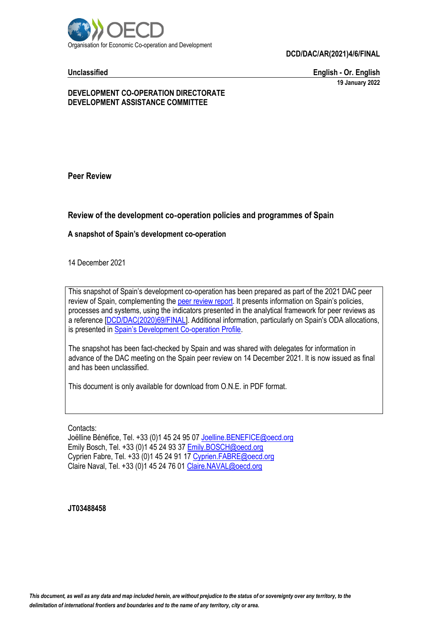

**Unclassified English - Or. English 19 January 2022**

#### **DEVELOPMENT CO-OPERATION DIRECTORATE DEVELOPMENT ASSISTANCE COMMITTEE**

**Peer Review**

#### **Review of the development co**‑**operation policies and programmes of Spain**

#### **A snapshot of Spain's development co-operation**

14 December 2021

This snapshot of Spain's development co-operation has been prepared as part of the 2021 DAC peer review of Spain, complementing the [peer review report.](https://doi.org/10.1787/eed71550-en) It presents information on Spain's policies, processes and systems, using the indicators presented in the analytical framework for peer reviews as a reference [\[DCD/DAC\(2020\)69/FINAL\]](https://www.oecd.org/officialdocuments/publicdisplaydocumentpdf/?cote=DCD/DAC(2020)69/FINAL&docLanguage=En). Additional information, particularly on Spain's ODA allocations, is presented in [Spain's Development Co](https://doi.org/10.1787/26d68de7-en)-operation Profile.

The snapshot has been fact-checked by Spain and was shared with delegates for information in advance of the DAC meeting on the Spain peer review on 14 December 2021. It is now issued as final and has been unclassified.

This document is only available for download from O.N.E. in PDF format.

Contacts:

Joëlline Bénéfice, Tel. +33 (0)1 45 24 95 0[7 Joelline.BENEFICE@oecd.org](mailto:Joelline.BENEFICE@oecd.org) Emily Bosch, Tel. +33 (0)1 45 24 93 37 [Emily.BOSCH@oecd.org](mailto:Emily.BOSCH@oecd.org) Cyprien Fabre, Tel. +33 (0)1 45 24 91 1[7 Cyprien.FABRE@oecd.org](mailto:Cyprien.FABRE@oecd.org) Claire Naval, Tel. +33 (0)1 45 24 76 0[1 Claire.NAVAL@oecd.org](mailto:Claire.NAVAL@oecd.org)

#### **JT03488458**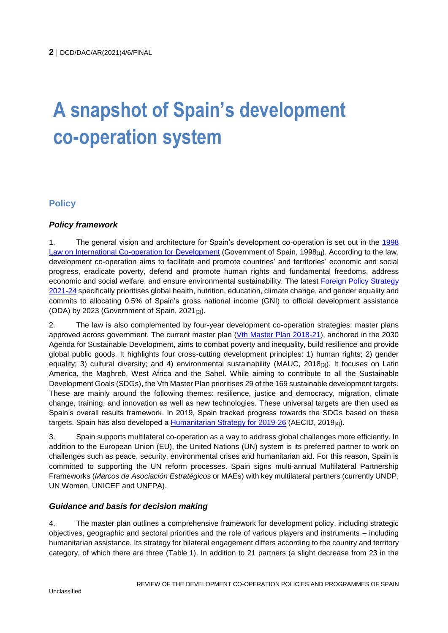## **A snapshot of Spain's development co-operation system**

#### **Policy**

#### *Policy framework*

1. The general vision and architecture for Spain's development co-operation is set out in the 1998 [Law on International Co-operation for Development](https://www.boe.es/eli/es/l/1998/07/07/23/con) (Government of Spain, 1998<sub>[1]</sub>). According to the law, development co-operation aims to facilitate and promote countries' and territories' economic and social progress, eradicate poverty, defend and promote human rights and fundamental freedoms, address economic and social welfare, and ensure environmental sustainability. The latest Foreign Policy Strategy [2021-24](https://www.lamoncloa.gob.es/consejodeministros/resumenes/Documents/2021/270421-foreigh_action_strategy_2021-2024.pdf) specifically prioritises global health, nutrition, education, climate change, and gender equality and commits to allocating 0.5% of Spain's gross national income (GNI) to official development assistance (ODA) by 2023 (Government of Spain,  $2021_{[2]}$ ).

2. The law is also complemented by four-year development co-operation strategies: master plans approved across government. The current master plan [\(Vth Master Plan 2018-21\)](http://www.exteriores.gob.es/Portal/es/PoliticaExteriorCooperacion/CooperacionAlDesarrollo/Documents/V%20Plan%20Director%20de%20la%20Cooperaci%C3%B3n%20Espa%C3%B1ola.pdf), anchored in the 2030 Agenda for Sustainable Development, aims to combat poverty and inequality, build resilience and provide global public goods. It highlights four cross-cutting development principles: 1) human rights; 2) gender equality; 3) cultural diversity; and 4) environmental sustainability (MAUC, 2018[3]). It focuses on Latin America, the Maghreb, West Africa and the Sahel. While aiming to contribute to all the Sustainable Development Goals (SDGs), the Vth Master Plan prioritises 29 of the 169 sustainable development targets. These are mainly around the following themes: resilience, justice and democracy, migration, climate change, training, and innovation as well as new technologies. These universal targets are then used as Spain's overall results framework. In 2019, Spain tracked progress towards the SDGs based on these targets. Spain has also developed a Humanitarian Strategy for  $2019-26$  (AECID,  $2019_{[4]}$ ).

3. Spain supports multilateral co-operation as a way to address global challenges more efficiently. In addition to the European Union (EU), the United Nations (UN) system is its preferred partner to work on challenges such as peace, security, environmental crises and humanitarian aid. For this reason, Spain is committed to supporting the UN reform processes. Spain signs multi-annual Multilateral Partnership Frameworks (*Marcos de Asociación Estratégicos* or MAEs) with key multilateral partners (currently UNDP, UN Women, UNICEF and UNFPA).

#### *Guidance and basis for decision making*

4. The master plan outlines a comprehensive framework for development policy, including strategic objectives, geographic and sectoral priorities and the role of various players and instruments – including humanitarian assistance. Its strategy for bilateral engagement differs according to the country and territory category, of which there are three [\(Table](#page-2-0) 1). In addition to 21 partners (a slight decrease from 23 in the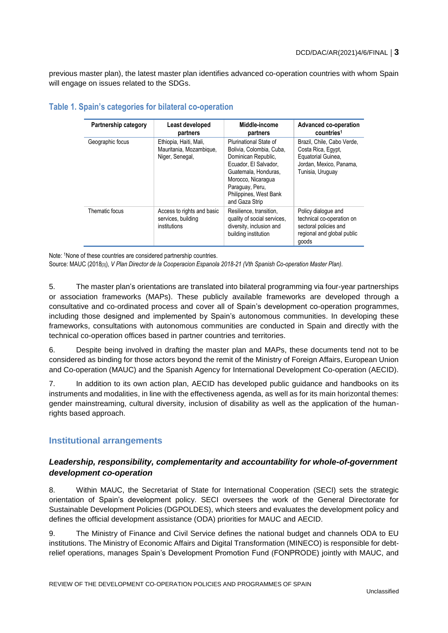previous master plan), the latest master plan identifies advanced co-operation countries with whom Spain will engage on issues related to the SDGs.

#### <span id="page-2-0"></span>**Table 1. Spain's categories for bilateral co-operation**

| Partnership category | Least developed<br>partners                                          | Middle-income<br>partners                                                                                                                                                                                       | Advanced co-operation<br>countries <sup>1</sup>                                                                       |
|----------------------|----------------------------------------------------------------------|-----------------------------------------------------------------------------------------------------------------------------------------------------------------------------------------------------------------|-----------------------------------------------------------------------------------------------------------------------|
| Geographic focus     | Ethiopia, Haiti, Mali,<br>Mauritania, Mozambique,<br>Niger, Senegal, | Plurinational State of<br>Bolivia, Colombia, Cuba,<br>Dominican Republic,<br>Ecuador, El Salvador,<br>Guatemala, Honduras,<br>Morocco, Nicaragua<br>Paraguay, Peru,<br>Philippines, West Bank<br>and Gaza Strip | Brazil, Chile, Cabo Verde,<br>Costa Rica, Egypt,<br>Equatorial Guinea,<br>Jordan, Mexico, Panama,<br>Tunisia, Uruguay |
| Thematic focus       | Access to rights and basic<br>services, building<br>institutions     | Resilience, transition,<br>quality of social services.<br>diversity, inclusion and<br>building institution                                                                                                      | Policy dialogue and<br>technical co-operation on<br>sectoral policies and<br>regional and global public<br>goods      |

Note: <sup>1</sup>None of these countries are considered partnership countries.

Source: MAUC (2018[3]), *V Plan Director de la Cooperacion Espanola 2018-21 (Vth Spanish Co-operation Master Plan).*

5. The master plan's orientations are translated into bilateral programming via four-year partnerships or association frameworks (MAPs). These publicly available frameworks are developed through a consultative and co-ordinated process and cover all of Spain's development co-operation programmes, including those designed and implemented by Spain's autonomous communities. In developing these frameworks, consultations with autonomous communities are conducted in Spain and directly with the technical co-operation offices based in partner countries and territories.

6. Despite being involved in drafting the master plan and MAPs, these documents tend not to be considered as binding for those actors beyond the remit of the Ministry of Foreign Affairs, European Union and Co-operation (MAUC) and the Spanish Agency for International Development Co-operation (AECID).

7. In addition to its own action plan, AECID has developed public guidance and handbooks on its instruments and modalities, in line with the effectiveness agenda, as well as for its main horizontal themes: gender mainstreaming, cultural diversity, inclusion of disability as well as the application of the humanrights based approach.

#### **Institutional arrangements**

#### *Leadership, responsibility, complementarity and accountability for whole-of-government development co-operation*

8. Within MAUC, the Secretariat of State for International Cooperation (SECI) sets the strategic orientation of Spain's development policy. SECI oversees the work of the General Directorate for Sustainable Development Policies (DGPOLDES), which steers and evaluates the development policy and defines the official development assistance (ODA) priorities for MAUC and AECID.

9. The Ministry of Finance and Civil Service defines the national budget and channels ODA to EU institutions. The Ministry of Economic Affairs and Digital Transformation (MINECO) is responsible for debtrelief operations, manages Spain's Development Promotion Fund (FONPRODE) jointly with MAUC, and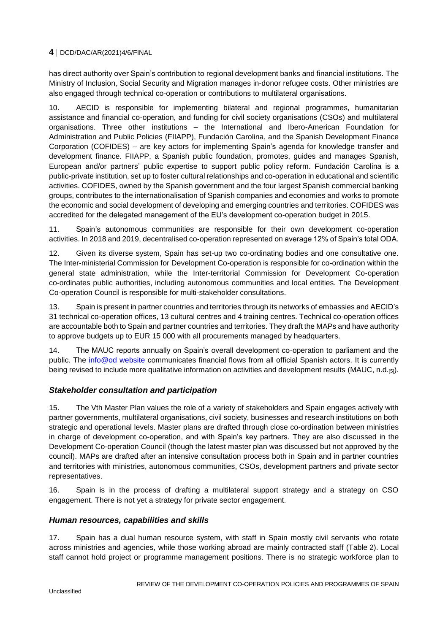has direct authority over Spain's contribution to regional development banks and financial institutions. The Ministry of Inclusion, Social Security and Migration manages in-donor refugee costs. Other ministries are also engaged through technical co-operation or contributions to multilateral organisations.

10. AECID is responsible for implementing bilateral and regional programmes, humanitarian assistance and financial co-operation, and funding for civil society organisations (CSOs) and multilateral organisations. Three other institutions – the International and Ibero-American Foundation for Administration and Public Policies (FIIAPP), Fundación Carolina, and the Spanish Development Finance Corporation (COFIDES) – are key actors for implementing Spain's agenda for knowledge transfer and development finance. FIIAPP, a Spanish public foundation, promotes, guides and manages Spanish, European and/or partners' public expertise to support public policy reform. Fundación Carolina is a public-private institution, set up to foster cultural relationships and co-operation in educational and scientific activities. COFIDES, owned by the Spanish government and the four largest Spanish commercial banking groups, contributes to the internationalisation of Spanish companies and economies and works to promote the economic and social development of developing and emerging countries and territories. COFIDES was accredited for the delegated management of the EU's development co-operation budget in 2015.

11. Spain's autonomous communities are responsible for their own development co-operation activities. In 2018 and 2019, decentralised co-operation represented on average 12% of Spain's total ODA.

12. Given its diverse system, Spain has set-up two co-ordinating bodies and one consultative one. The Inter-ministerial Commission for Development Co-operation is responsible for co-ordination within the general state administration, while the Inter-territorial Commission for Development Co-operation co-ordinates public authorities, including autonomous communities and local entities. The Development Co-operation Council is responsible for multi-stakeholder consultations.

13. Spain is present in partner countries and territories through its networks of embassies and AECID's 31 technical co-operation offices, 13 cultural centres and 4 training centres. Technical co-operation offices are accountable both to Spain and partner countries and territories. They draft the MAPs and have authority to approve budgets up to EUR 15 000 with all procurements managed by headquarters.

14. The MAUC reports annually on Spain's overall development co-operation to parliament and the public. The [info@od website](https://infoaod.maec.es/) communicates financial flows from all official Spanish actors. It is currently being revised to include more qualitative information on activities and development results (MAUC, n.d.[5]).

#### *Stakeholder consultation and participation*

15. The Vth Master Plan values the role of a variety of stakeholders and Spain engages actively with partner governments, multilateral organisations, civil society, businesses and research institutions on both strategic and operational levels. Master plans are drafted through close co-ordination between ministries in charge of development co-operation, and with Spain's key partners. They are also discussed in the Development Co-operation Council (though the latest master plan was discussed but not approved by the council). MAPs are drafted after an intensive consultation process both in Spain and in partner countries and territories with ministries, autonomous communities, CSOs, development partners and private sector representatives.

16. Spain is in the process of drafting a multilateral support strategy and a strategy on CSO engagement. There is not yet a strategy for private sector engagement.

#### *Human resources, capabilities and skills*

17. Spain has a dual human resource system, with staff in Spain mostly civil servants who rotate across ministries and agencies, while those working abroad are mainly contracted staff [\(Table](#page-4-0) 2). Local staff cannot hold project or programme management positions. There is no strategic workforce plan to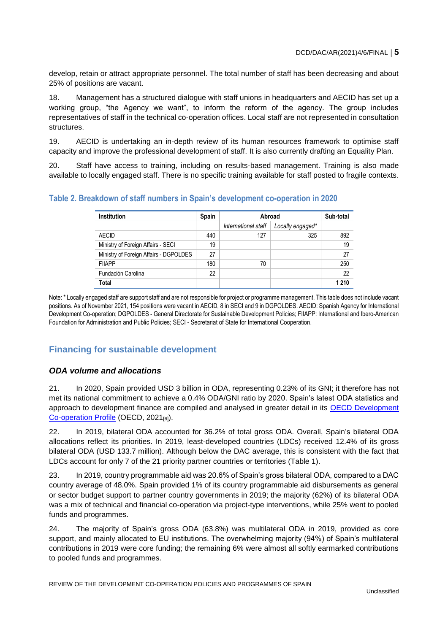develop, retain or attract appropriate personnel. The total number of staff has been decreasing and about 25% of positions are vacant.

18. Management has a structured dialogue with staff unions in headquarters and AECID has set up a working group, "the Agency we want", to inform the reform of the agency. The group includes representatives of staff in the technical co-operation offices. Local staff are not represented in consultation structures.

19. AECID is undertaking an in-depth review of its human resources framework to optimise staff capacity and improve the professional development of staff. It is also currently drafting an Equality Plan.

20. Staff have access to training, including on results-based management. Training is also made available to locally engaged staff. There is no specific training available for staff posted to fragile contexts.

<span id="page-4-0"></span>**Table 2. Breakdown of staff numbers in Spain's development co-operation in 2020**

| Institution                            | <b>Spain</b> | Abroad              |                  | Sub-total |
|----------------------------------------|--------------|---------------------|------------------|-----------|
|                                        |              | International staff | Locally engaged* |           |
| <b>AECID</b>                           | 440          | 127                 | 325              | 892       |
| Ministry of Foreign Affairs - SECI     | 19           |                     |                  | 19        |
| Ministry of Foreign Affairs - DGPOLDES | 27           |                     |                  | 27        |
| <b>FIIAPP</b>                          | 180          | 70                  |                  | 250       |
| Fundación Carolina                     | 22           |                     |                  | 22        |
| Total                                  |              |                     |                  | 1 2 1 0   |

Note: \* Locally engaged staff are support staff and are not responsible for project or programme management. This table does not include vacant positions. As of November 2021, 154 positions were vacant in AECID, 8 in SECI and 9 in DGPOLDES. AECID: Spanish Agency for International Development Co-operation; DGPOLDES - General Directorate for Sustainable Development Policies; FIIAPP: International and Ibero-American Foundation for Administration and Public Policies; SECI - Secretariat of State for International Cooperation.

#### **Financing for sustainable development**

#### *ODA volume and allocations*

21. In 2020, Spain provided USD 3 billion in ODA, representing 0.23% of its GNI; it therefore has not met its national commitment to achieve a 0.4% ODA/GNI ratio by 2020. Spain's latest ODA statistics and approach to development finance are compiled and analysed in greater detail in its [OECD Development](https://www.oecd-ilibrary.org/sites/26d68de7-en/index.html?itemId=/content/component/5e331623-en&_csp_=b14d4f60505d057b456dd1730d8fcea3&itemIGO=oecd&itemContentType=chapter&_ga=2.176507941.1066501543.1630477673-985109711.1524817040)  [Co-operation Profile](https://www.oecd-ilibrary.org/sites/26d68de7-en/index.html?itemId=/content/component/5e331623-en&_csp_=b14d4f60505d057b456dd1730d8fcea3&itemIGO=oecd&itemContentType=chapter&_ga=2.176507941.1066501543.1630477673-985109711.1524817040) (OECD, 2021[6]).

22. In 2019, bilateral ODA accounted for 36.2% of total gross ODA. Overall, Spain's bilateral ODA allocations reflect its priorities. In 2019, least-developed countries (LDCs) received 12.4% of its gross bilateral ODA (USD 133.7 million). Although below the DAC average, this is consistent with the fact that LDCs account for only 7 of the 21 priority partner countries or territories [\(Table](#page-2-0) 1).

23. In 2019, country programmable aid was 20.6% of Spain's gross bilateral ODA, compared to a DAC country average of 48.0%. Spain provided 1% of its country programmable aid disbursements as general or sector budget support to partner country governments in 2019; the majority (62%) of its bilateral ODA was a mix of technical and financial co-operation via project-type interventions, while 25% went to pooled funds and programmes.

24. The majority of Spain's gross ODA (63.8%) was multilateral ODA in 2019, provided as core support, and mainly allocated to EU institutions. The overwhelming majority (94%) of Spain's multilateral contributions in 2019 were core funding; the remaining 6% were almost all softly earmarked contributions to pooled funds and programmes.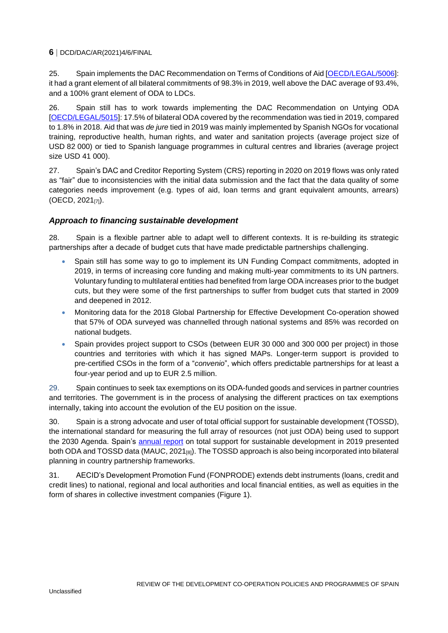25. Spain implements the DAC Recommendation on Terms of Conditions of Aid [\[OECD/LEGAL/5006\]](https://legalinstruments.oecd.org/en/instruments/OECD-LEGAL-5006): it had a grant element of all bilateral commitments of 98.3% in 2019, well above the DAC average of 93.4%, and a 100% grant element of ODA to LDCs.

26. Spain still has to work towards implementing the DAC Recommendation on Untying ODA [\[OECD/LEGAL/5015\]](https://legalinstruments.oecd.org/en/instruments/OECD-LEGAL-5015): 17.5% of bilateral ODA covered by the recommendation was tied in 2019, compared to 1.8% in 2018. Aid that was *de jure* tied in 2019 was mainly implemented by Spanish NGOs for vocational training, reproductive health, human rights, and water and sanitation projects (average project size of USD 82 000) or tied to Spanish language programmes in cultural centres and libraries (average project size USD 41 000).

27. Spain's DAC and Creditor Reporting System (CRS) reporting in 2020 on 2019 flows was only rated as "fair" due to inconsistencies with the initial data submission and the fact that the data quality of some categories needs improvement (e.g. types of aid, loan terms and grant equivalent amounts, arrears) (OECD, 2021[7]).

#### *Approach to financing sustainable development*

28. Spain is a flexible partner able to adapt well to different contexts. It is re-building its strategic partnerships after a decade of budget cuts that have made predictable partnerships challenging.

- Spain still has some way to go to implement its UN Funding Compact commitments, adopted in 2019, in terms of increasing core funding and making multi-year commitments to its UN partners. Voluntary funding to multilateral entities had benefited from large ODA increases prior to the budget cuts, but they were some of the first partnerships to suffer from budget cuts that started in 2009 and deepened in 2012.
- Monitoring data for the 2018 Global Partnership for Effective Development Co-operation showed that 57% of ODA surveyed was channelled through national systems and 85% was recorded on national budgets.
- Spain provides project support to CSOs (between EUR 30 000 and 300 000 per project) in those countries and territories with which it has signed MAPs. Longer-term support is provided to pre-certified CSOs in the form of a "*convenio*", which offers predictable partnerships for at least a four-year period and up to EUR 2.5 million.

29. Spain continues to seek tax exemptions on its ODA-funded goods and services in partner countries and territories. The government is in the process of analysing the different practices on tax exemptions internally, taking into account the evolution of the EU position on the issue.

30. Spain is a strong advocate and user of total official support for sustainable development (TOSSD), the international standard for measuring the full array of resources (not just ODA) being used to support the 2030 Agenda. Spain's [annual report](http://www.exteriores.gob.es/Portal/es/SalaDePrensa/Multimedia/Publicaciones/Documents/Cooperacion/Analista/2019/Seguimiento/Libro%20Seguimiento%202019.pdf) on total support for sustainable development in 2019 presented both ODA and TOSSD data (MAUC, 2021[8]). The TOSSD approach is also being incorporated into bilateral planning in country partnership frameworks.

31. AECID's Development Promotion Fund (FONPRODE) extends debt instruments (loans, credit and credit lines) to national, regional and local authorities and local financial entities, as well as equities in the form of shares in collective investment companies [\(Figure](#page-6-0) 1).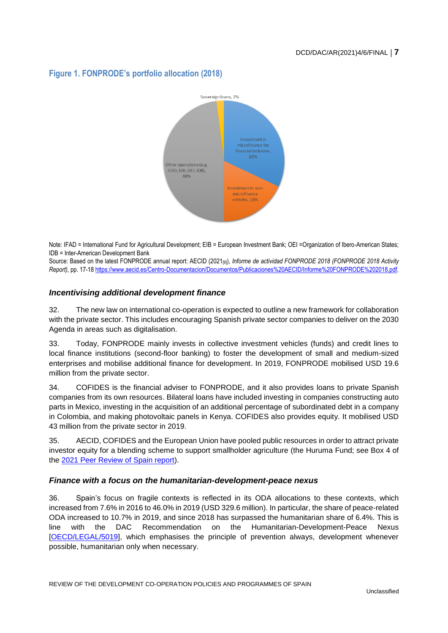#### <span id="page-6-0"></span>**Figure 1. FONPRODE's portfolio allocation (2018)**



Note: IFAD = International Fund for Agricultural Development: EIB = European Investment Bank: OEI =Organization of Ibero-American States: IDB = Inter-American Development Bank

Source: Based on the latest FONPRODE annual report: AECID (2021<sub>[9]</sub>), *Informe de actividad FONPRODE 2018 (FONPRODE 2018 Activity Report)*, pp. 17-18 [https://www.aecid.es/Centro-Documentacion/Documentos/Publicaciones%20AECID/Informe%20FONPRODE%202018.pdf.](https://www.aecid.es/Centro-Documentacion/Documentos/Publicaciones%20AECID/Informe%20FONPRODE%202018.pdf)

#### *Incentivising additional development finance*

32. The new law on international co-operation is expected to outline a new framework for collaboration with the private sector. This includes encouraging Spanish private sector companies to deliver on the 2030 Agenda in areas such as digitalisation.

33. Today, FONPRODE mainly invests in collective investment vehicles (funds) and credit lines to local finance institutions (second-floor banking) to foster the development of small and medium-sized enterprises and mobilise additional finance for development. In 2019, FONPRODE mobilised USD 19.6 million from the private sector.

34. COFIDES is the financial adviser to FONPRODE, and it also provides loans to private Spanish companies from its own resources. Bilateral loans have included investing in companies constructing auto parts in Mexico, investing in the acquisition of an additional percentage of subordinated debt in a company in Colombia, and making photovoltaic panels in Kenya. COFIDES also provides equity. It mobilised USD 43 million from the private sector in 2019.

35. AECID, COFIDES and the European Union have pooled public resources in order to attract private investor equity for a blending scheme to support smallholder agriculture (the Huruma Fund; see Box 4 of the [2021 Peer Review of Spain report\)](https://doi.org/10.1787/eed71550-en).

#### *Finance with a focus on the humanitarian-development-peace nexus*

36. Spain's focus on fragile contexts is reflected in its ODA allocations to these contexts, which increased from 7.6% in 2016 to 46.0% in 2019 (USD 329.6 million). In particular, the share of peace-related ODA increased to 10.7% in 2019, and since 2018 has surpassed the humanitarian share of 6.4%. This is line with the DAC Recommendation on the Humanitarian-Development-Peace Nexus [\[OECD/LEGAL/5019\]](https://legalinstruments.oecd.org/en/instruments/OECD-LEGAL-5019), which emphasises the principle of prevention always, development whenever possible, humanitarian only when necessary.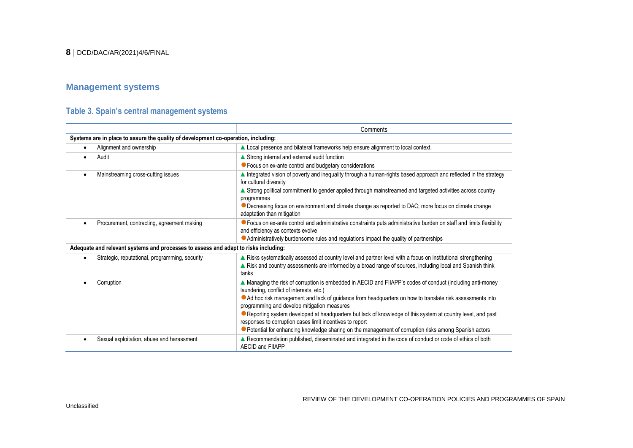#### **Management systems**

### **Table 3. Spain's central management systems**

|                                                                                     | Comments                                                                                                                                                               |  |  |  |
|-------------------------------------------------------------------------------------|------------------------------------------------------------------------------------------------------------------------------------------------------------------------|--|--|--|
| Systems are in place to assure the quality of development co-operation, including:  |                                                                                                                                                                        |  |  |  |
| Alignment and ownership                                                             | ▲ Local presence and bilateral frameworks help ensure alignment to local context.                                                                                      |  |  |  |
| Audit                                                                               | ▲ Strong internal and external audit function                                                                                                                          |  |  |  |
|                                                                                     | ● Focus on ex-ante control and budgetary considerations                                                                                                                |  |  |  |
| Mainstreaming cross-cutting issues<br>$\bullet$                                     | ▲ Integrated vision of poverty and inequality through a human-rights based approach and reflected in the strategy<br>for cultural diversity                            |  |  |  |
|                                                                                     | ▲ Strong political commitment to gender applied through mainstreamed and targeted activities across country<br>programmes                                              |  |  |  |
|                                                                                     | • Decreasing focus on environment and climate change as reported to DAC; more focus on climate change<br>adaptation than mitigation                                    |  |  |  |
| Procurement, contracting, agreement making<br>$\bullet$                             | ● Focus on ex-ante control and administrative constraints puts administrative burden on staff and limits flexibility<br>and efficiency as contexts evolve              |  |  |  |
|                                                                                     | • Administratively burdensome rules and regulations impact the quality of partnerships                                                                                 |  |  |  |
| Adequate and relevant systems and processes to assess and adapt to risks including: |                                                                                                                                                                        |  |  |  |
| Strategic, reputational, programming, security                                      | ▲ Risks systematically assessed at country level and partner level with a focus on institutional strengthening                                                         |  |  |  |
|                                                                                     | ▲ Risk and country assessments are informed by a broad range of sources, including local and Spanish think<br>tanks                                                    |  |  |  |
| Corruption<br>٠                                                                     | ▲ Managing the risk of corruption is embedded in AECID and FIIAPP's codes of conduct (including anti-money<br>laundering, conflict of interests, etc.)                 |  |  |  |
|                                                                                     | Ad hoc risk management and lack of guidance from headquarters on how to translate risk assessments into<br>programming and develop mitigation measures                 |  |  |  |
|                                                                                     | Reporting system developed at headquarters but lack of knowledge of this system at country level, and past<br>responses to corruption cases limit incentives to report |  |  |  |
|                                                                                     | ● Potential for enhancing knowledge sharing on the management of corruption risks among Spanish actors                                                                 |  |  |  |
| Sexual exploitation, abuse and harassment                                           | ▲ Recommendation published, disseminated and integrated in the code of conduct or code of ethics of both<br><b>AECID and FIIAPP</b>                                    |  |  |  |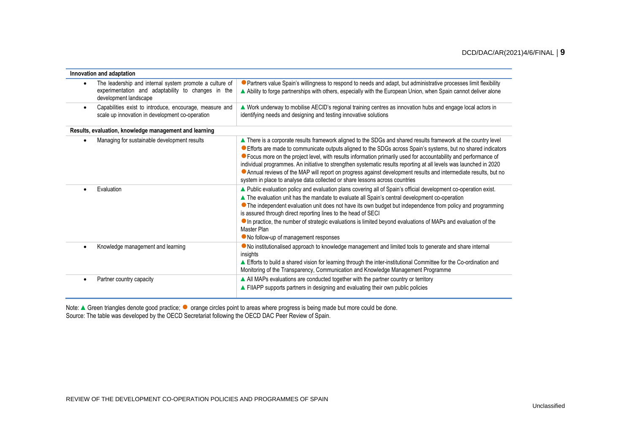| Innovation and adaptation                                                                                                                           |                                                                                                                                                                                                                                                                                                                                                                                                                                                                                                                                                                                                                                                                             |
|-----------------------------------------------------------------------------------------------------------------------------------------------------|-----------------------------------------------------------------------------------------------------------------------------------------------------------------------------------------------------------------------------------------------------------------------------------------------------------------------------------------------------------------------------------------------------------------------------------------------------------------------------------------------------------------------------------------------------------------------------------------------------------------------------------------------------------------------------|
| The leadership and internal system promote a culture of<br>$\bullet$<br>experimentation and adaptability to changes in the<br>development landscape | Partners value Spain's willingness to respond to needs and adapt, but administrative processes limit flexibility<br>A bility to forge partnerships with others, especially with the European Union, when Spain cannot deliver alone                                                                                                                                                                                                                                                                                                                                                                                                                                         |
| Capabilities exist to introduce, encourage, measure and<br>$\bullet$<br>scale up innovation in development co-operation                             | ▲ Work underway to mobilise AECID's regional training centres as innovation hubs and engage local actors in<br>identifying needs and designing and testing innovative solutions                                                                                                                                                                                                                                                                                                                                                                                                                                                                                             |
| Results, evaluation, knowledge management and learning                                                                                              |                                                                                                                                                                                                                                                                                                                                                                                                                                                                                                                                                                                                                                                                             |
| Managing for sustainable development results<br>$\bullet$                                                                                           | ▲ There is a corporate results framework aligned to the SDGs and shared results framework at the country level<br>● Efforts are made to communicate outputs aligned to the SDGs across Spain's systems, but no shared indicators<br>● Focus more on the project level, with results information primarily used for accountability and performance of<br>individual programmes. An initiative to strengthen systematic results reporting at all levels was launched in 2020<br>Annual reviews of the MAP will report on progress against development results and intermediate results, but no<br>system in place to analyse data collected or share lessons across countries |
| Evaluation                                                                                                                                          | A Public evaluation policy and evaluation plans covering all of Spain's official development co-operation exist.<br>▲ The evaluation unit has the mandate to evaluate all Spain's central development co-operation<br>• The independent evaluation unit does not have its own budget but independence from policy and programming<br>is assured through direct reporting lines to the head of SECI<br>In practice, the number of strategic evaluations is limited beyond evaluations of MAPs and evaluation of the<br>Master Plan<br>• No follow-up of management responses                                                                                                 |
| Knowledge management and learning                                                                                                                   | ONo institutionalised approach to knowledge management and limited tools to generate and share internal<br>insights<br>Efforts to build a shared vision for learning through the inter-institutional Committee for the Co-ordination and<br>Monitoring of the Transparency, Communication and Knowledge Management Programme                                                                                                                                                                                                                                                                                                                                                |
| Partner country capacity<br>٠                                                                                                                       | All MAPs evaluations are conducted together with the partner country or territory<br>FIIAPP supports partners in designing and evaluating their own public policies                                                                                                                                                                                                                                                                                                                                                                                                                                                                                                         |

Note: ▲ Green triangles denote good practice; ● orange circles point to areas where progress is being made but more could be done. Source: The table was developed by the OECD Secretariat following the OECD DAC Peer Review of Spain.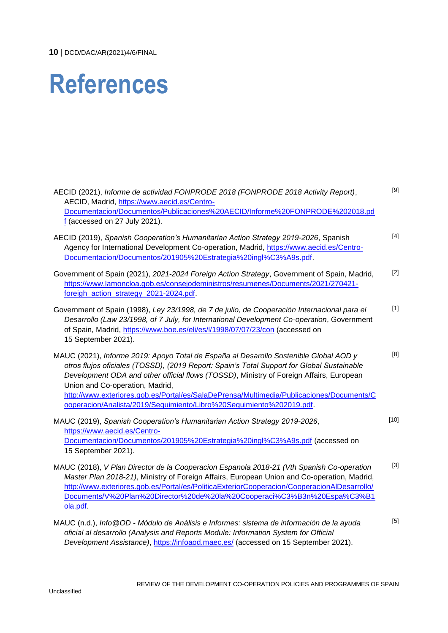# **References**

| AECID (2021), Informe de actividad FONPRODE 2018 (FONPRODE 2018 Activity Report),<br>AECID, Madrid, https://www.aecid.es/Centro-<br>Documentacion/Documentos/Publicaciones%20AECID/Informe%20FONPRODE%202018.pd<br>f (accessed on 27 July 2021).                                                                                                                                                                                                                                      | $[9]$  |
|---------------------------------------------------------------------------------------------------------------------------------------------------------------------------------------------------------------------------------------------------------------------------------------------------------------------------------------------------------------------------------------------------------------------------------------------------------------------------------------|--------|
| AECID (2019), Spanish Cooperation's Humanitarian Action Strategy 2019-2026, Spanish<br>Agency for International Development Co-operation, Madrid, https://www.aecid.es/Centro-<br>Documentacion/Documentos/201905%20Estrategia%20ingl%C3%A9s.pdf.                                                                                                                                                                                                                                     | $[4]$  |
| Government of Spain (2021), 2021-2024 Foreign Action Strategy, Government of Spain, Madrid,<br>https://www.lamoncloa.gob.es/consejodeministros/resumenes/Documents/2021/270421-<br>foreigh_action_strategy_2021-2024.pdf                                                                                                                                                                                                                                                              | $[2]$  |
| Government of Spain (1998), Ley 23/1998, de 7 de julio, de Cooperación Internacional para el<br>Desarrollo (Law 23/1998, of 7 July, for International Development Co-operation, Government<br>of Spain, Madrid, https://www.boe.es/eli/es/l/1998/07/07/23/con (accessed on<br>15 September 2021).                                                                                                                                                                                     | $[1]$  |
| MAUC (2021), Informe 2019: Apoyo Total de España al Desarollo Sostenible Global AOD y<br>otros flujos oficiales (TOSSD), (2019 Report: Spain's Total Support for Global Sustainable<br>Development ODA and other official flows (TOSSD), Ministry of Foreign Affairs, European<br>Union and Co-operation, Madrid,<br>http://www.exteriores.gob.es/Portal/es/SalaDePrensa/Multimedia/Publicaciones/Documents/C<br>ooperacion/Analista/2019/Sequimiento/Libro%20Sequimiento%202019.pdf. | [8]    |
| MAUC (2019), Spanish Cooperation's Humanitarian Action Strategy 2019-2026,<br>https://www.aecid.es/Centro-<br>Documentacion/Documentos/201905%20Estrategia%20ingl%C3%A9s.pdf (accessed on<br>15 September 2021).                                                                                                                                                                                                                                                                      | $[10]$ |
| MAUC (2018), V Plan Director de la Cooperacion Espanola 2018-21 (Vth Spanish Co-operation<br>Master Plan 2018-21), Ministry of Foreign Affairs, European Union and Co-operation, Madrid,<br>http://www.exteriores.gob.es/Portal/es/PoliticaExteriorCooperacion/CooperacionAlDesarrollo/<br>Documents/V%20Plan%20Director%20de%20la%20Cooperaci%C3%B3n%20Espa%C3%B1<br>ola.pdf.                                                                                                        | $[3]$  |
| MAUC (n.d.), Info @OD - Módulo de Análisis e Informes: sistema de información de la ayuda<br>oficial al desarrollo (Analysis and Reports Module: Information System for Official<br>Development Assistance), https://infoaod.maec.es/ (accessed on 15 September 2021).                                                                                                                                                                                                                | $[5]$  |